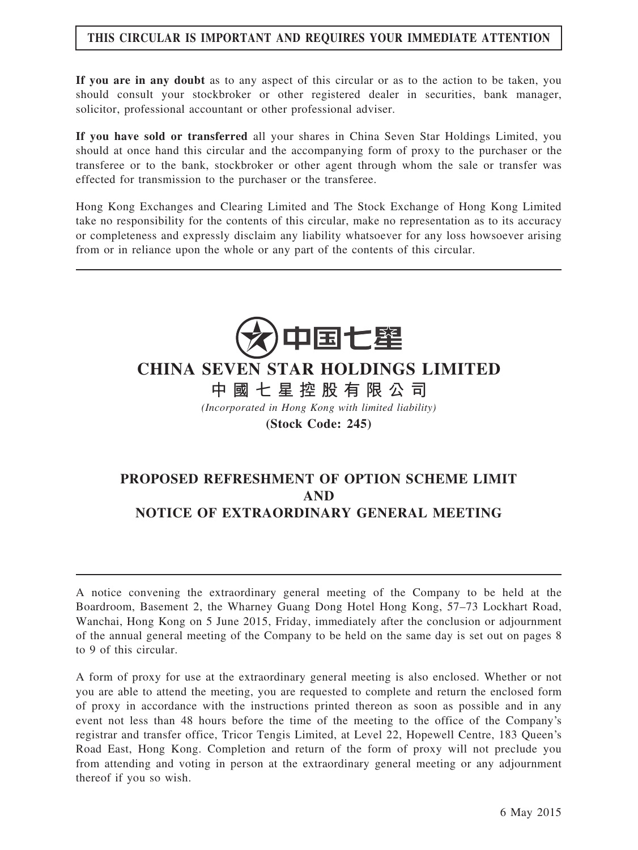#### THIS CIRCULAR IS IMPORTANT AND REQUIRES YOUR IMMEDIATE ATTENTION

If you are in any doubt as to any aspect of this circular or as to the action to be taken, you should consult your stockbroker or other registered dealer in securities, bank manager, solicitor, professional accountant or other professional adviser.

If you have sold or transferred all your shares in China Seven Star Holdings Limited, you should at once hand this circular and the accompanying form of proxy to the purchaser or the transferee or to the bank, stockbroker or other agent through whom the sale or transfer was effected for transmission to the purchaser or the transferee.

Hong Kong Exchanges and Clearing Limited and The Stock Exchange of Hong Kong Limited take no responsibility for the contents of this circular, make no representation as to its accuracy or completeness and expressly disclaim any liability whatsoever for any loss howsoever arising from or in reliance upon the whole or any part of the contents of this circular.



## CHINA SEVEN STAR HOLDINGS LIMITED

中 國 七 星 控 股 有 限 公 司

(Incorporated in Hong Kong with limited liability)

(Stock Code: 245)

## PROPOSED REFRESHMENT OF OPTION SCHEME LIMIT AND NOTICE OF EXTRAORDINARY GENERAL MEETING

A notice convening the extraordinary general meeting of the Company to be held at the Boardroom, Basement 2, the Wharney Guang Dong Hotel Hong Kong, 57–73 Lockhart Road, Wanchai, Hong Kong on 5 June 2015, Friday, immediately after the conclusion or adjournment of the annual general meeting of the Company to be held on the same day is set out on pages 8 to 9 of this circular.

A form of proxy for use at the extraordinary general meeting is also enclosed. Whether or not you are able to attend the meeting, you are requested to complete and return the enclosed form of proxy in accordance with the instructions printed thereon as soon as possible and in any event not less than 48 hours before the time of the meeting to the office of the Company's registrar and transfer office, Tricor Tengis Limited, at Level 22, Hopewell Centre, 183 Queen's Road East, Hong Kong. Completion and return of the form of proxy will not preclude you from attending and voting in person at the extraordinary general meeting or any adjournment thereof if you so wish.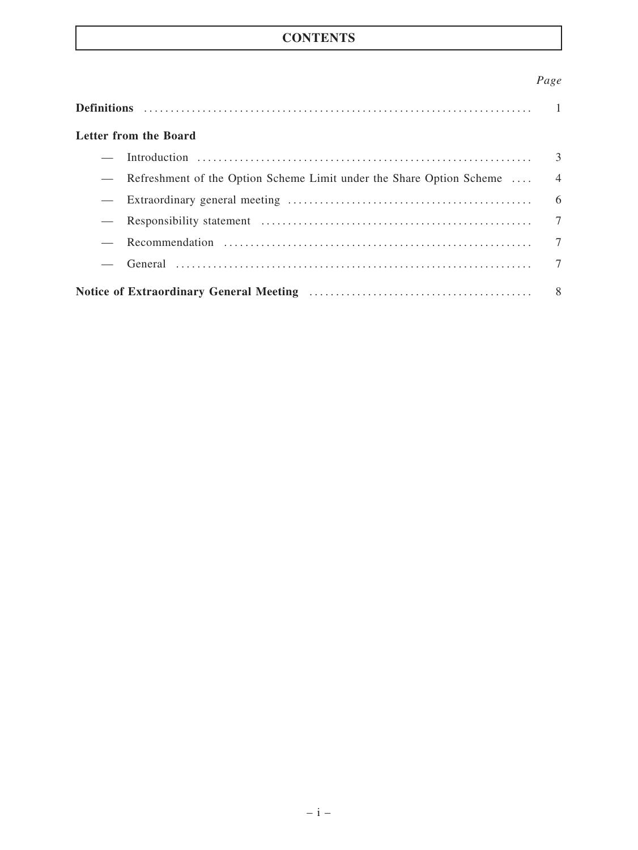## **CONTENTS**

### Page

|  | Letter from the Board                                                     |  |  |  |  |
|--|---------------------------------------------------------------------------|--|--|--|--|
|  |                                                                           |  |  |  |  |
|  | - Refreshment of the Option Scheme Limit under the Share Option Scheme  4 |  |  |  |  |
|  |                                                                           |  |  |  |  |
|  |                                                                           |  |  |  |  |
|  |                                                                           |  |  |  |  |
|  |                                                                           |  |  |  |  |
|  |                                                                           |  |  |  |  |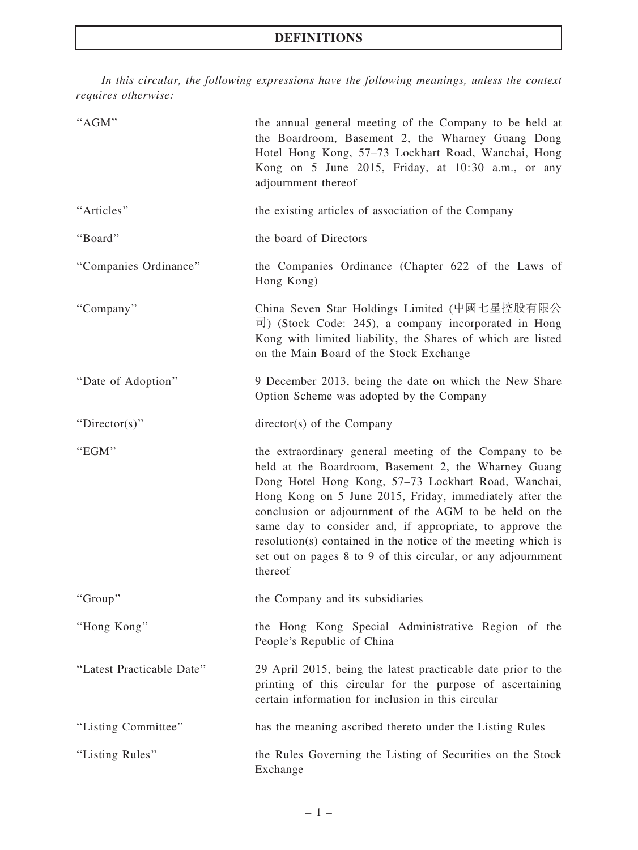In this circular, the following expressions have the following meanings, unless the context requires otherwise:

| "AGM"                     | the annual general meeting of the Company to be held at<br>the Boardroom, Basement 2, the Wharney Guang Dong<br>Hotel Hong Kong, 57-73 Lockhart Road, Wanchai, Hong<br>Kong on 5 June 2015, Friday, at 10:30 a.m., or any<br>adjournment thereof                                                                                                                                                                                                                                                   |
|---------------------------|----------------------------------------------------------------------------------------------------------------------------------------------------------------------------------------------------------------------------------------------------------------------------------------------------------------------------------------------------------------------------------------------------------------------------------------------------------------------------------------------------|
| "Articles"                | the existing articles of association of the Company                                                                                                                                                                                                                                                                                                                                                                                                                                                |
| "Board"                   | the board of Directors                                                                                                                                                                                                                                                                                                                                                                                                                                                                             |
| "Companies Ordinance"     | the Companies Ordinance (Chapter 622 of the Laws of<br>Hong Kong)                                                                                                                                                                                                                                                                                                                                                                                                                                  |
| "Company"                 | China Seven Star Holdings Limited (中國七星控股有限公<br>$\overline{\mathbb{E}}$ ) (Stock Code: 245), a company incorporated in Hong<br>Kong with limited liability, the Shares of which are listed<br>on the Main Board of the Stock Exchange                                                                                                                                                                                                                                                              |
| "Date of Adoption"        | 9 December 2013, being the date on which the New Share<br>Option Scheme was adopted by the Company                                                                                                                                                                                                                                                                                                                                                                                                 |
| "Director(s)"             | $directory(s)$ of the Company                                                                                                                                                                                                                                                                                                                                                                                                                                                                      |
| "EGM"                     | the extraordinary general meeting of the Company to be<br>held at the Boardroom, Basement 2, the Wharney Guang<br>Dong Hotel Hong Kong, 57-73 Lockhart Road, Wanchai,<br>Hong Kong on 5 June 2015, Friday, immediately after the<br>conclusion or adjournment of the AGM to be held on the<br>same day to consider and, if appropriate, to approve the<br>resolution(s) contained in the notice of the meeting which is<br>set out on pages 8 to 9 of this circular, or any adjournment<br>thereof |
| "Group"                   | the Company and its subsidiaries                                                                                                                                                                                                                                                                                                                                                                                                                                                                   |
| "Hong Kong"               | the Hong Kong Special Administrative Region of the<br>People's Republic of China                                                                                                                                                                                                                                                                                                                                                                                                                   |
| "Latest Practicable Date" | 29 April 2015, being the latest practicable date prior to the<br>printing of this circular for the purpose of ascertaining<br>certain information for inclusion in this circular                                                                                                                                                                                                                                                                                                                   |
| "Listing Committee"       | has the meaning ascribed thereto under the Listing Rules                                                                                                                                                                                                                                                                                                                                                                                                                                           |
| "Listing Rules"           | the Rules Governing the Listing of Securities on the Stock<br>Exchange                                                                                                                                                                                                                                                                                                                                                                                                                             |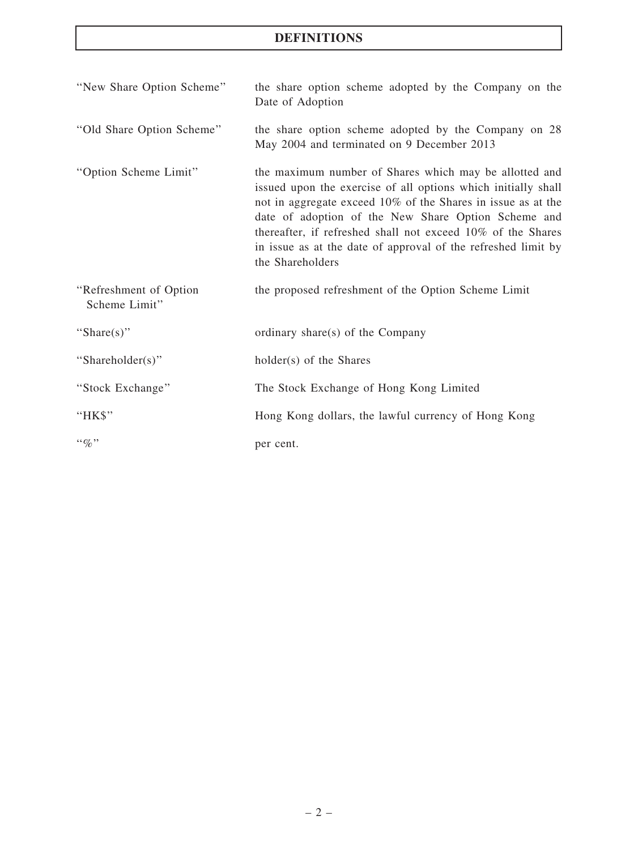## DEFINITIONS

| "New Share Option Scheme"               | the share option scheme adopted by the Company on the<br>Date of Adoption                                                                                                                                                                                                                                                                                                                          |  |  |  |
|-----------------------------------------|----------------------------------------------------------------------------------------------------------------------------------------------------------------------------------------------------------------------------------------------------------------------------------------------------------------------------------------------------------------------------------------------------|--|--|--|
| "Old Share Option Scheme"               | the share option scheme adopted by the Company on 28<br>May 2004 and terminated on 9 December 2013                                                                                                                                                                                                                                                                                                 |  |  |  |
| "Option Scheme Limit"                   | the maximum number of Shares which may be allotted and<br>issued upon the exercise of all options which initially shall<br>not in aggregate exceed 10% of the Shares in issue as at the<br>date of adoption of the New Share Option Scheme and<br>thereafter, if refreshed shall not exceed 10% of the Shares<br>in issue as at the date of approval of the refreshed limit by<br>the Shareholders |  |  |  |
| "Refreshment of Option<br>Scheme Limit" | the proposed refreshment of the Option Scheme Limit                                                                                                                                                                                                                                                                                                                                                |  |  |  |
| "Share(s)"                              | ordinary share(s) of the Company                                                                                                                                                                                                                                                                                                                                                                   |  |  |  |
| "Shareholder(s)"                        | holder(s) of the Shares                                                                                                                                                                                                                                                                                                                                                                            |  |  |  |
| "Stock Exchange"                        | The Stock Exchange of Hong Kong Limited                                                                                                                                                                                                                                                                                                                                                            |  |  |  |
| "HK\$"                                  | Hong Kong dollars, the lawful currency of Hong Kong                                                                                                                                                                                                                                                                                                                                                |  |  |  |
| $\lq\lq q_0$ "                          | per cent.                                                                                                                                                                                                                                                                                                                                                                                          |  |  |  |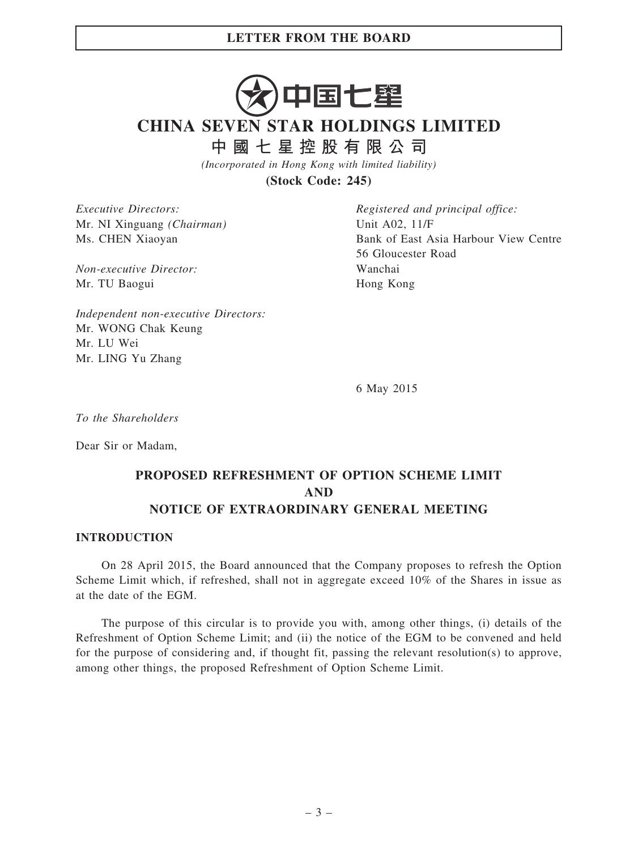The purpose of this circular is to provide you with, among other things, (i) details of the Refreshment of Option Scheme Limit; and (ii) the notice of the EGM to be convened and held for the purpose of considering and, if thought fit, passing the relevant resolution(s) to approve, among other things, the proposed Refreshment of Option Scheme Limit.

#### – 3 –

中国七壆

## CHINA SEVEN STAR HOLDINGS LIMITED

中 國 七 星 控 股 有 限 公 司

(Incorporated in Hong Kong with limited liability)

(Stock Code: 245)

Executive Directors: Mr. NI Xinguang (Chairman) Ms. CHEN Xiaoyan

Non-executive Director: Mr. TU Baogui

Registered and principal office: Unit A02, 11/F Bank of East Asia Harbour View Centre 56 Gloucester Road Wanchai Hong Kong

Independent non-executive Directors: Mr. WONG Chak Keung Mr. LU Wei Mr. LING Yu Zhang

6 May 2015

To the Shareholders

Dear Sir or Madam,

## PROPOSED REFRESHMENT OF OPTION SCHEME LIMIT AND

## NOTICE OF EXTRAORDINARY GENERAL MEETING

#### INTRODUCTION

On 28 April 2015, the Board announced that the Company proposes to refresh the Option Scheme Limit which, if refreshed, shall not in aggregate exceed 10% of the Shares in issue as at the date of the EGM.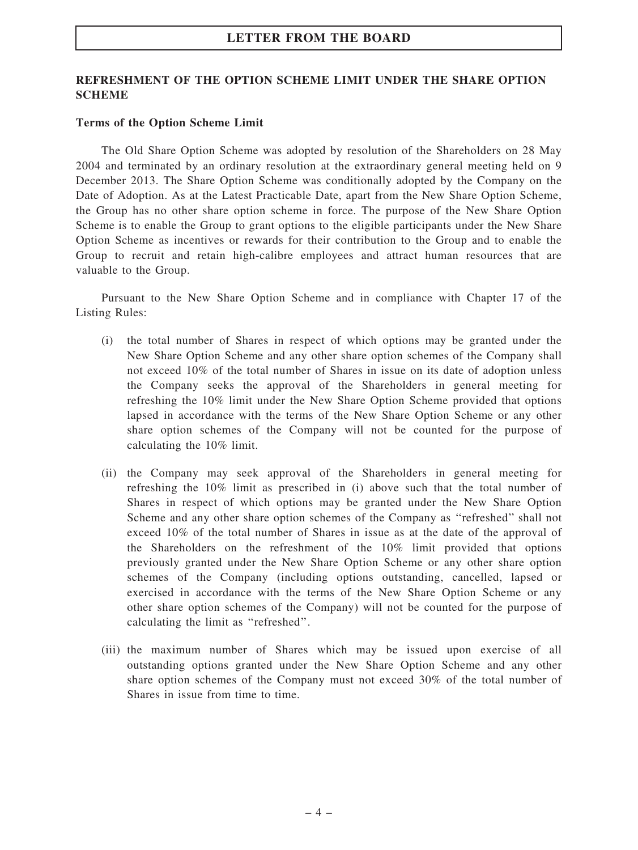#### REFRESHMENT OF THE OPTION SCHEME LIMIT UNDER THE SHARE OPTION **SCHEME**

#### Terms of the Option Scheme Limit

The Old Share Option Scheme was adopted by resolution of the Shareholders on 28 May 2004 and terminated by an ordinary resolution at the extraordinary general meeting held on 9 December 2013. The Share Option Scheme was conditionally adopted by the Company on the Date of Adoption. As at the Latest Practicable Date, apart from the New Share Option Scheme, the Group has no other share option scheme in force. The purpose of the New Share Option Scheme is to enable the Group to grant options to the eligible participants under the New Share Option Scheme as incentives or rewards for their contribution to the Group and to enable the Group to recruit and retain high-calibre employees and attract human resources that are valuable to the Group.

Pursuant to the New Share Option Scheme and in compliance with Chapter 17 of the Listing Rules:

- (i) the total number of Shares in respect of which options may be granted under the New Share Option Scheme and any other share option schemes of the Company shall not exceed 10% of the total number of Shares in issue on its date of adoption unless the Company seeks the approval of the Shareholders in general meeting for refreshing the 10% limit under the New Share Option Scheme provided that options lapsed in accordance with the terms of the New Share Option Scheme or any other share option schemes of the Company will not be counted for the purpose of calculating the 10% limit.
- (ii) the Company may seek approval of the Shareholders in general meeting for refreshing the 10% limit as prescribed in (i) above such that the total number of Shares in respect of which options may be granted under the New Share Option Scheme and any other share option schemes of the Company as ''refreshed'' shall not exceed 10% of the total number of Shares in issue as at the date of the approval of the Shareholders on the refreshment of the 10% limit provided that options previously granted under the New Share Option Scheme or any other share option schemes of the Company (including options outstanding, cancelled, lapsed or exercised in accordance with the terms of the New Share Option Scheme or any other share option schemes of the Company) will not be counted for the purpose of calculating the limit as ''refreshed''.
- (iii) the maximum number of Shares which may be issued upon exercise of all outstanding options granted under the New Share Option Scheme and any other share option schemes of the Company must not exceed 30% of the total number of Shares in issue from time to time.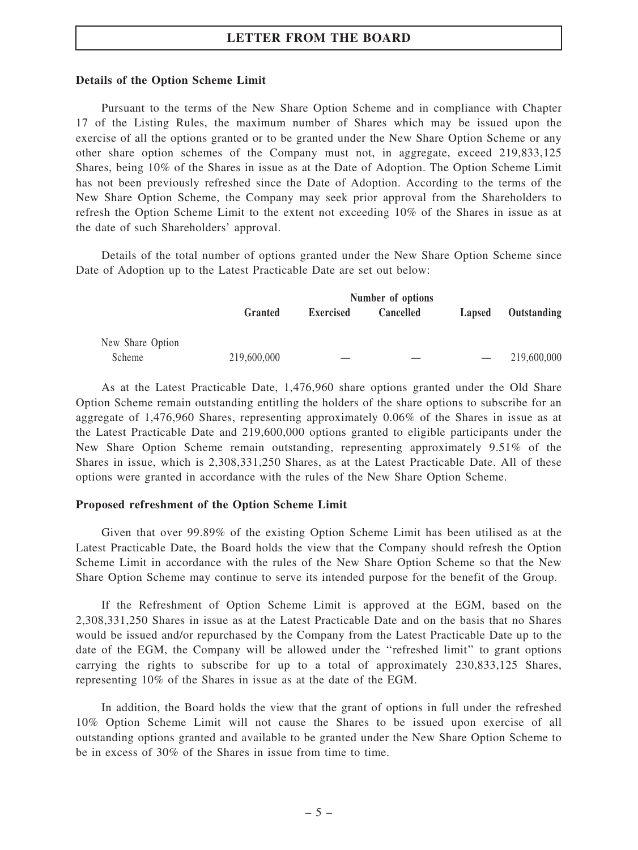#### Details of the Option Scheme Limit

Pursuant to the terms of the New Share Option Scheme and in compliance with Chapter 17 of the Listing Rules, the maximum number of Shares which may be issued upon the exercise of all the options granted or to be granted under the New Share Option Scheme or any other share option schemes of the Company must not, in aggregate, exceed 219,833,125 Shares, being 10% of the Shares in issue as at the Date of Adoption. The Option Scheme Limit has not been previously refreshed since the Date of Adoption. According to the terms of the New Share Option Scheme, the Company may seek prior approval from the Shareholders to refresh the Option Scheme Limit to the extent not exceeding 10% of the Shares in issue as at the date of such Shareholders' approval.

Details of the total number of options granted under the New Share Option Scheme since Date of Adoption up to the Latest Practicable Date are set out below:

|                  | Number of options |                  |                  |        |             |  |
|------------------|-------------------|------------------|------------------|--------|-------------|--|
|                  | Granted           | <b>Exercised</b> | <b>Cancelled</b> | Lapsed | Outstanding |  |
| New Share Option |                   |                  |                  |        |             |  |
| Scheme           | 219,600,000       |                  |                  |        | 219,600,000 |  |

As at the Latest Practicable Date, 1,476,960 share options granted under the Old Share Option Scheme remain outstanding entitling the holders of the share options to subscribe for an aggregate of 1,476,960 Shares, representing approximately 0.06% of the Shares in issue as at the Latest Practicable Date and 219,600,000 options granted to eligible participants under the New Share Option Scheme remain outstanding, representing approximately 9.51% of the Shares in issue, which is 2,308,331,250 Shares, as at the Latest Practicable Date. All of these options were granted in accordance with the rules of the New Share Option Scheme.

#### Proposed refreshment of the Option Scheme Limit

Given that over 99.89% of the existing Option Scheme Limit has been utilised as at the Latest Practicable Date, the Board holds the view that the Company should refresh the Option Scheme Limit in accordance with the rules of the New Share Option Scheme so that the New Share Option Scheme may continue to serve its intended purpose for the benefit of the Group.

If the Refreshment of Option Scheme Limit is approved at the EGM, based on the 2,308,331,250 Shares in issue as at the Latest Practicable Date and on the basis that no Shares would be issued and/or repurchased by the Company from the Latest Practicable Date up to the date of the EGM, the Company will be allowed under the ''refreshed limit'' to grant options carrying the rights to subscribe for up to a total of approximately 230,833,125 Shares, representing 10% of the Shares in issue as at the date of the EGM.

In addition, the Board holds the view that the grant of options in full under the refreshed 10% Option Scheme Limit will not cause the Shares to be issued upon exercise of all outstanding options granted and available to be granted under the New Share Option Scheme to be in excess of 30% of the Shares in issue from time to time.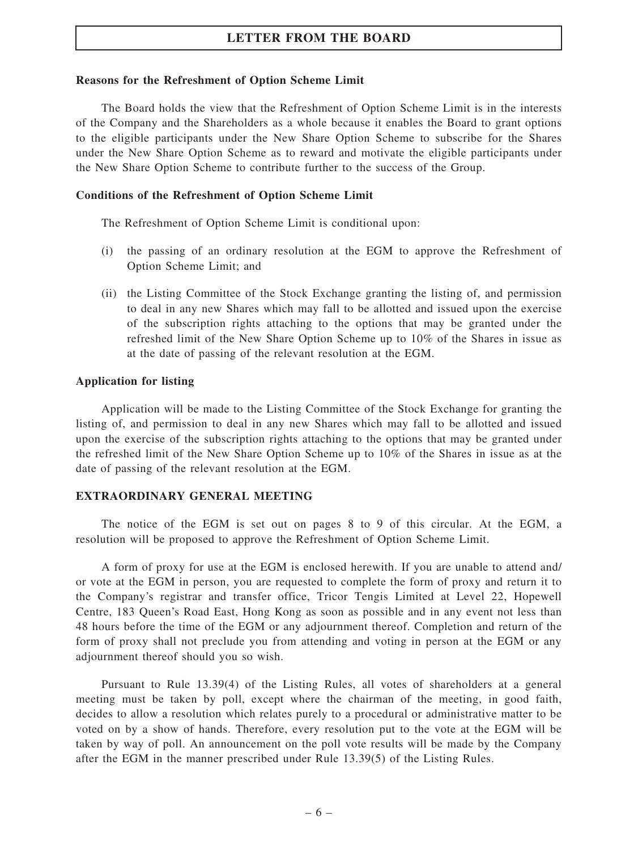#### Reasons for the Refreshment of Option Scheme Limit

The Board holds the view that the Refreshment of Option Scheme Limit is in the interests of the Company and the Shareholders as a whole because it enables the Board to grant options to the eligible participants under the New Share Option Scheme to subscribe for the Shares under the New Share Option Scheme as to reward and motivate the eligible participants under the New Share Option Scheme to contribute further to the success of the Group.

#### Conditions of the Refreshment of Option Scheme Limit

The Refreshment of Option Scheme Limit is conditional upon:

- (i) the passing of an ordinary resolution at the EGM to approve the Refreshment of Option Scheme Limit; and
- (ii) the Listing Committee of the Stock Exchange granting the listing of, and permission to deal in any new Shares which may fall to be allotted and issued upon the exercise of the subscription rights attaching to the options that may be granted under the refreshed limit of the New Share Option Scheme up to 10% of the Shares in issue as at the date of passing of the relevant resolution at the EGM.

#### Application for listing

Application will be made to the Listing Committee of the Stock Exchange for granting the listing of, and permission to deal in any new Shares which may fall to be allotted and issued upon the exercise of the subscription rights attaching to the options that may be granted under the refreshed limit of the New Share Option Scheme up to 10% of the Shares in issue as at the date of passing of the relevant resolution at the EGM.

#### EXTRAORDINARY GENERAL MEETING

The notice of the EGM is set out on pages 8 to 9 of this circular. At the EGM, a resolution will be proposed to approve the Refreshment of Option Scheme Limit.

A form of proxy for use at the EGM is enclosed herewith. If you are unable to attend and/ or vote at the EGM in person, you are requested to complete the form of proxy and return it to the Company's registrar and transfer office, Tricor Tengis Limited at Level 22, Hopewell Centre, 183 Queen's Road East, Hong Kong as soon as possible and in any event not less than 48 hours before the time of the EGM or any adjournment thereof. Completion and return of the form of proxy shall not preclude you from attending and voting in person at the EGM or any adjournment thereof should you so wish.

Pursuant to Rule 13.39(4) of the Listing Rules, all votes of shareholders at a general meeting must be taken by poll, except where the chairman of the meeting, in good faith, decides to allow a resolution which relates purely to a procedural or administrative matter to be voted on by a show of hands. Therefore, every resolution put to the vote at the EGM will be taken by way of poll. An announcement on the poll vote results will be made by the Company after the EGM in the manner prescribed under Rule 13.39(5) of the Listing Rules.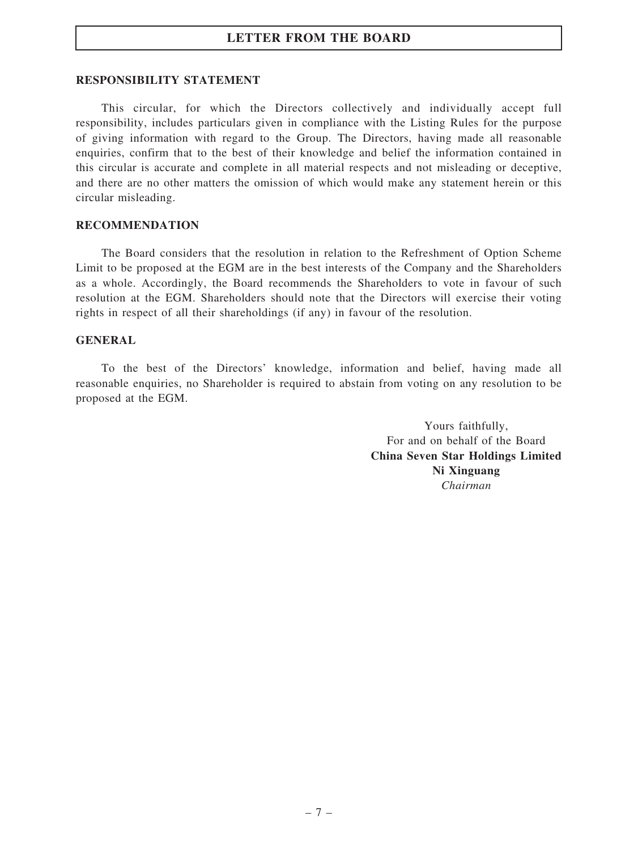#### RESPONSIBILITY STATEMENT

This circular, for which the Directors collectively and individually accept full responsibility, includes particulars given in compliance with the Listing Rules for the purpose of giving information with regard to the Group. The Directors, having made all reasonable enquiries, confirm that to the best of their knowledge and belief the information contained in this circular is accurate and complete in all material respects and not misleading or deceptive, and there are no other matters the omission of which would make any statement herein or this circular misleading.

#### RECOMMENDATION

The Board considers that the resolution in relation to the Refreshment of Option Scheme Limit to be proposed at the EGM are in the best interests of the Company and the Shareholders as a whole. Accordingly, the Board recommends the Shareholders to vote in favour of such resolution at the EGM. Shareholders should note that the Directors will exercise their voting rights in respect of all their shareholdings (if any) in favour of the resolution.

#### GENERAL

To the best of the Directors' knowledge, information and belief, having made all reasonable enquiries, no Shareholder is required to abstain from voting on any resolution to be proposed at the EGM.

> Yours faithfully, For and on behalf of the Board China Seven Star Holdings Limited Ni Xinguang Chairman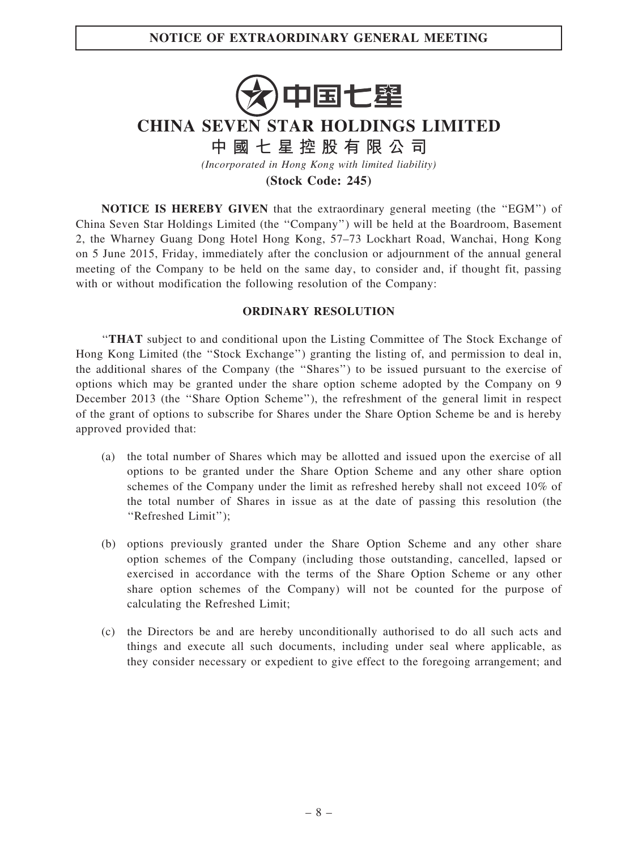# 中国七壆

## CHINA SEVEN STAR HOLDINGS LIMITED

中 國 七 星 控 股 有 限 公 司

(Incorporated in Hong Kong with limited liability)

(Stock Code: 245)

NOTICE IS HEREBY GIVEN that the extraordinary general meeting (the ''EGM'') of China Seven Star Holdings Limited (the ''Company'') will be held at the Boardroom, Basement 2, the Wharney Guang Dong Hotel Hong Kong, 57–73 Lockhart Road, Wanchai, Hong Kong on 5 June 2015, Friday, immediately after the conclusion or adjournment of the annual general meeting of the Company to be held on the same day, to consider and, if thought fit, passing with or without modification the following resolution of the Company:

#### ORDINARY RESOLUTION

''THAT subject to and conditional upon the Listing Committee of The Stock Exchange of Hong Kong Limited (the "Stock Exchange") granting the listing of, and permission to deal in, the additional shares of the Company (the ''Shares'') to be issued pursuant to the exercise of options which may be granted under the share option scheme adopted by the Company on 9 December 2013 (the ''Share Option Scheme''), the refreshment of the general limit in respect of the grant of options to subscribe for Shares under the Share Option Scheme be and is hereby approved provided that:

- (a) the total number of Shares which may be allotted and issued upon the exercise of all options to be granted under the Share Option Scheme and any other share option schemes of the Company under the limit as refreshed hereby shall not exceed 10% of the total number of Shares in issue as at the date of passing this resolution (the ''Refreshed Limit'');
- (b) options previously granted under the Share Option Scheme and any other share option schemes of the Company (including those outstanding, cancelled, lapsed or exercised in accordance with the terms of the Share Option Scheme or any other share option schemes of the Company) will not be counted for the purpose of calculating the Refreshed Limit;
- (c) the Directors be and are hereby unconditionally authorised to do all such acts and things and execute all such documents, including under seal where applicable, as they consider necessary or expedient to give effect to the foregoing arrangement; and